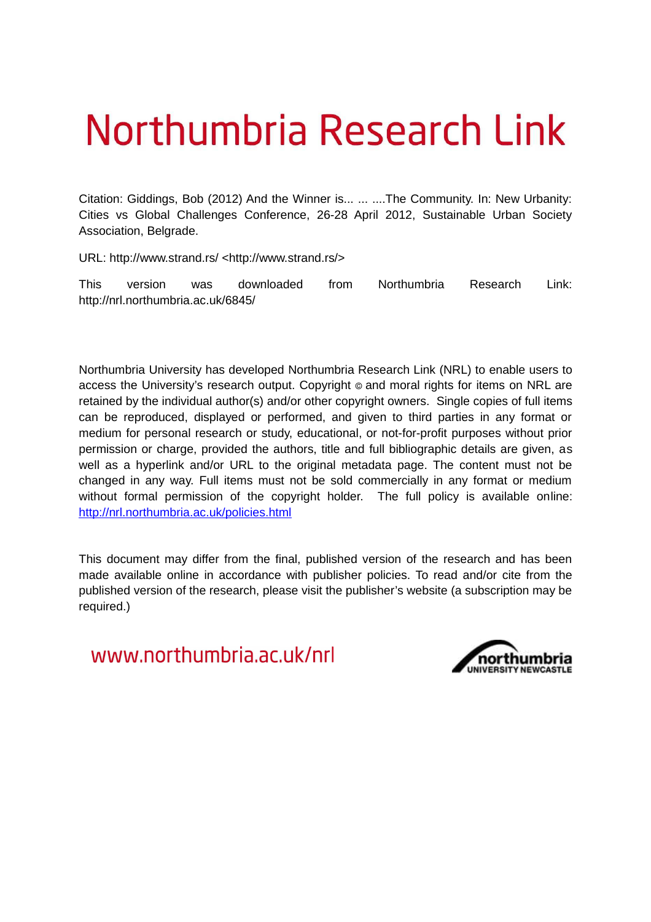# Northumbria Research Link

Citation: Giddings, Bob (2012) And the Winner is... ... ....The Community. In: New Urbanity: Cities vs Global Challenges Conference, 26-28 April 2012, Sustainable Urban Society Association, Belgrade.

URL: http://www.strand.rs/ <http://www.strand.rs/>

This version was downloaded from Northumbria Research Link: http://nrl.northumbria.ac.uk/6845/

Northumbria University has developed Northumbria Research Link (NRL) to enable users to access the University's research output. Copyright  $\circ$  and moral rights for items on NRL are retained by the individual author(s) and/or other copyright owners. Single copies of full items can be reproduced, displayed or performed, and given to third parties in any format or medium for personal research or study, educational, or not-for-profit purposes without prior permission or charge, provided the authors, title and full bibliographic details are given, as well as a hyperlink and/or URL to the original metadata page. The content must not be changed in any way. Full items must not be sold commercially in any format or medium without formal permission of the copyright holder. The full policy is available online: <http://nrl.northumbria.ac.uk/policies.html>

This document may differ from the final, published version of the research and has been made available online in accordance with publisher policies. To read and/or cite from the published version of the research, please visit the publisher's website (a subscription may be required.)

www.northumbria.ac.uk/nrl

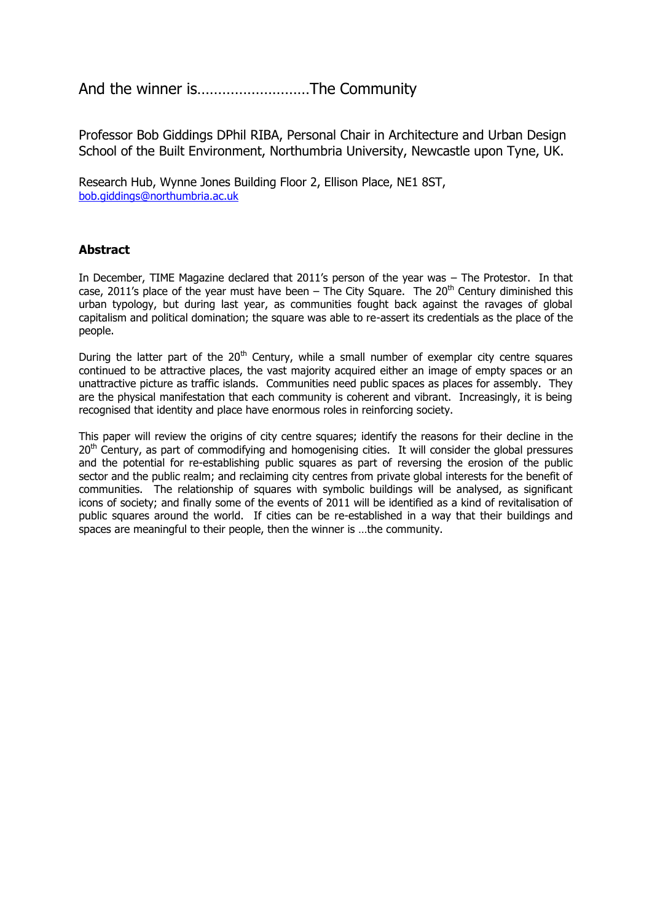And the winner is………………………The Community

Professor Bob Giddings DPhil RIBA, Personal Chair in Architecture and Urban Design School of the Built Environment, Northumbria University, Newcastle upon Tyne, UK.

Research Hub, Wynne Jones Building Floor 2, Ellison Place, NE1 8ST, [bob.giddings@northumbria.ac.uk](mailto:bob.giddings@northumbria.ac.uk)

## **Abstract**

In December, TIME Magazine declared that 2011's person of the year was – The Protestor. In that case, 2011's place of the year must have been – The City Square. The 20<sup>th</sup> Century diminished this urban typology, but during last year, as communities fought back against the ravages of global capitalism and political domination; the square was able to re-assert its credentials as the place of the people.

During the latter part of the  $20<sup>th</sup>$  Century, while a small number of exemplar city centre squares continued to be attractive places, the vast majority acquired either an image of empty spaces or an unattractive picture as traffic islands. Communities need public spaces as places for assembly. They are the physical manifestation that each community is coherent and vibrant. Increasingly, it is being recognised that identity and place have enormous roles in reinforcing society.

This paper will review the origins of city centre squares; identify the reasons for their decline in the  $20<sup>th</sup>$  Century, as part of commodifying and homogenising cities. It will consider the global pressures and the potential for re-establishing public squares as part of reversing the erosion of the public sector and the public realm; and reclaiming city centres from private global interests for the benefit of communities. The relationship of squares with symbolic buildings will be analysed, as significant icons of society; and finally some of the events of 2011 will be identified as a kind of revitalisation of public squares around the world. If cities can be re-established in a way that their buildings and spaces are meaningful to their people, then the winner is …the community.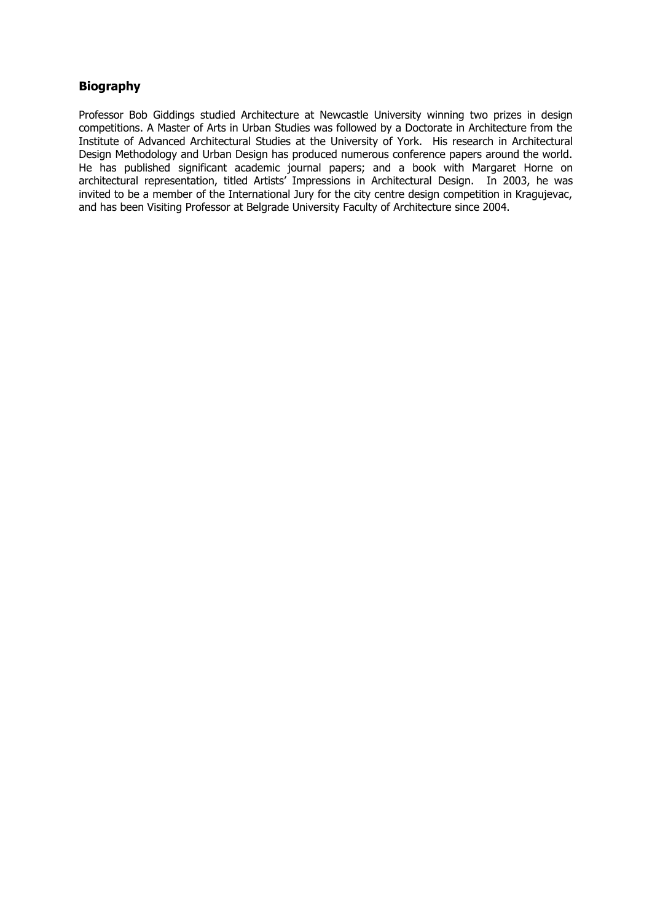## **Biography**

Professor Bob Giddings studied Architecture at Newcastle University winning two prizes in design competitions. A Master of Arts in Urban Studies was followed by a Doctorate in Architecture from the Institute of Advanced Architectural Studies at the University of York. His research in Architectural Design Methodology and Urban Design has produced numerous conference papers around the world. He has published significant academic journal papers; and a book with Margaret Horne on architectural representation, titled Artists' Impressions in Architectural Design. In 2003, he was invited to be a member of the International Jury for the city centre design competition in Kragujevac, and has been Visiting Professor at Belgrade University Faculty of Architecture since 2004.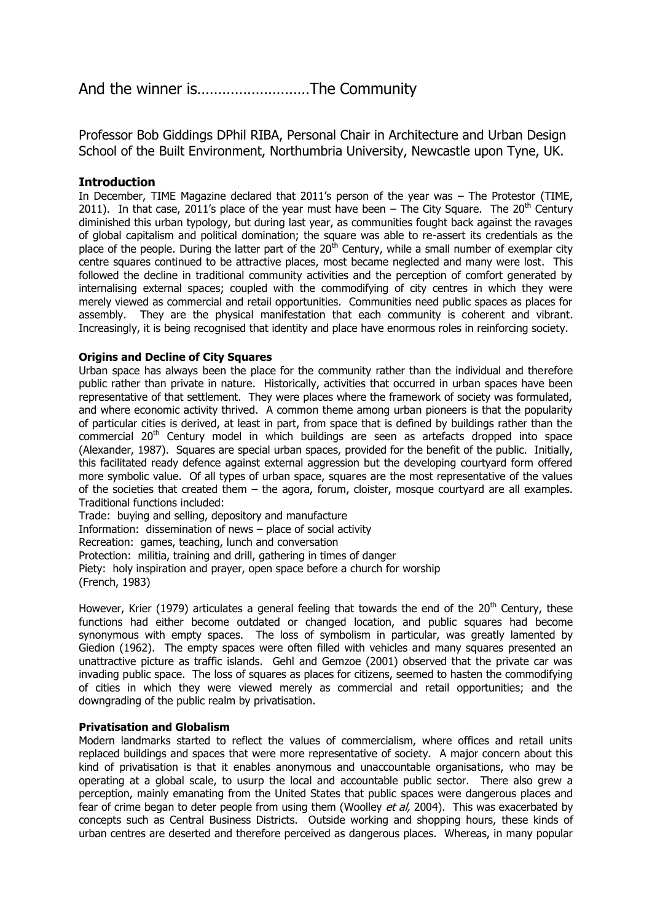Professor Bob Giddings DPhil RIBA, Personal Chair in Architecture and Urban Design School of the Built Environment, Northumbria University, Newcastle upon Tyne, UK.

## **Introduction**

In December, TIME Magazine declared that 2011's person of the year was – The Protestor (TIME, 2011). In that case, 2011's place of the year must have been – The City Square. The  $20<sup>th</sup>$  Century diminished this urban typology, but during last year, as communities fought back against the ravages of global capitalism and political domination; the square was able to re-assert its credentials as the place of the people. During the latter part of the  $20<sup>th</sup>$  Century, while a small number of exemplar city centre squares continued to be attractive places, most became neglected and many were lost. This followed the decline in traditional community activities and the perception of comfort generated by internalising external spaces; coupled with the commodifying of city centres in which they were merely viewed as commercial and retail opportunities. Communities need public spaces as places for assembly. They are the physical manifestation that each community is coherent and vibrant. Increasingly, it is being recognised that identity and place have enormous roles in reinforcing society.

## **Origins and Decline of City Squares**

Urban space has always been the place for the community rather than the individual and therefore public rather than private in nature. Historically, activities that occurred in urban spaces have been representative of that settlement. They were places where the framework of society was formulated, and where economic activity thrived. A common theme among urban pioneers is that the popularity of particular cities is derived, at least in part, from space that is defined by buildings rather than the commercial  $20<sup>th</sup>$  Century model in which buildings are seen as artefacts dropped into space (Alexander, 1987). Squares are special urban spaces, provided for the benefit of the public. Initially, this facilitated ready defence against external aggression but the developing courtyard form offered more symbolic value. Of all types of urban space, squares are the most representative of the values of the societies that created them – the agora, forum, cloister, mosque courtyard are all examples. Traditional functions included:

Trade: buying and selling, depository and manufacture Information: dissemination of news – place of social activity Recreation: games, teaching, lunch and conversation Protection: militia, training and drill, gathering in times of danger Piety: holy inspiration and prayer, open space before a church for worship (French, 1983)

However, Krier (1979) articulates a general feeling that towards the end of the  $20<sup>th</sup>$  Century, these functions had either become outdated or changed location, and public squares had become synonymous with empty spaces. The loss of symbolism in particular, was greatly lamented by Giedion (1962). The empty spaces were often filled with vehicles and many squares presented an unattractive picture as traffic islands. Gehl and Gemzoe (2001) observed that the private car was invading public space. The loss of squares as places for citizens, seemed to hasten the commodifying of cities in which they were viewed merely as commercial and retail opportunities; and the downgrading of the public realm by privatisation.

#### **Privatisation and Globalism**

Modern landmarks started to reflect the values of commercialism, where offices and retail units replaced buildings and spaces that were more representative of society. A major concern about this kind of privatisation is that it enables anonymous and unaccountable organisations, who may be operating at a global scale, to usurp the local and accountable public sector. There also grew a perception, mainly emanating from the United States that public spaces were dangerous places and fear of crime began to deter people from using them (Woolley et al, 2004). This was exacerbated by concepts such as Central Business Districts. Outside working and shopping hours, these kinds of urban centres are deserted and therefore perceived as dangerous places. Whereas, in many popular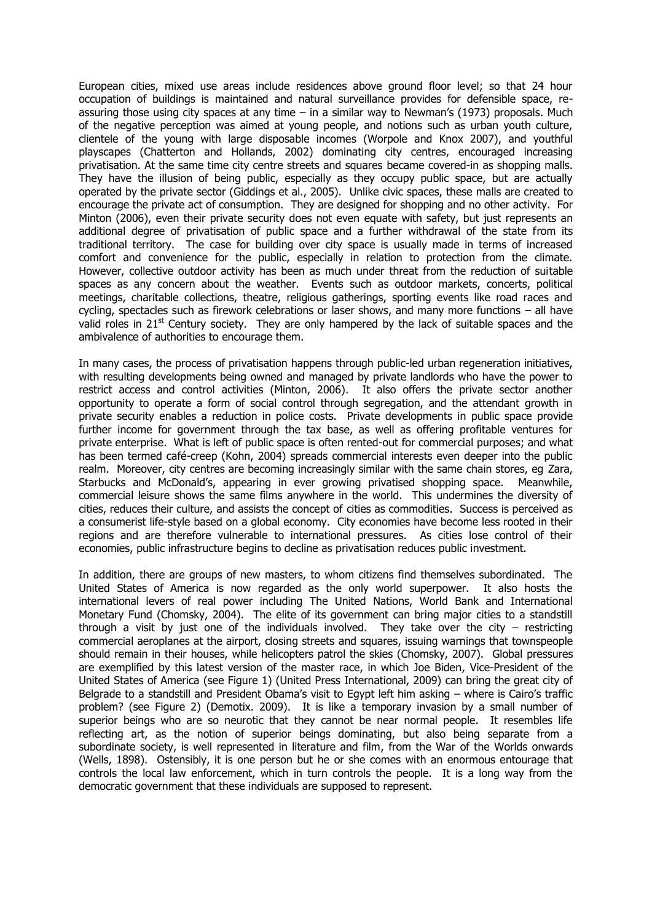European cities, mixed use areas include residences above ground floor level; so that 24 hour occupation of buildings is maintained and natural surveillance provides for defensible space, reassuring those using city spaces at any time – in a similar way to Newman's (1973) proposals. Much of the negative perception was aimed at young people, and notions such as urban youth culture, clientele of the young with large disposable incomes (Worpole and Knox 2007), and youthful playscapes (Chatterton and Hollands, 2002) dominating city centres, encouraged increasing privatisation. At the same time city centre streets and squares became covered-in as shopping malls. They have the illusion of being public, especially as they occupy public space, but are actually operated by the private sector (Giddings et al., 2005). Unlike civic spaces, these malls are created to encourage the private act of consumption. They are designed for shopping and no other activity. For Minton (2006), even their private security does not even equate with safety, but just represents an additional degree of privatisation of public space and a further withdrawal of the state from its traditional territory. The case for building over city space is usually made in terms of increased comfort and convenience for the public, especially in relation to protection from the climate. However, collective outdoor activity has been as much under threat from the reduction of suitable spaces as any concern about the weather. Events such as outdoor markets, concerts, political meetings, charitable collections, theatre, religious gatherings, sporting events like road races and cycling, spectacles such as firework celebrations or laser shows, and many more functions – all have valid roles in 21<sup>st</sup> Century society. They are only hampered by the lack of suitable spaces and the ambivalence of authorities to encourage them.

In many cases, the process of privatisation happens through public-led urban regeneration initiatives, with resulting developments being owned and managed by private landlords who have the power to restrict access and control activities (Minton, 2006). It also offers the private sector another opportunity to operate a form of social control through segregation, and the attendant growth in private security enables a reduction in police costs. Private developments in public space provide further income for government through the tax base, as well as offering profitable ventures for private enterprise. What is left of public space is often rented-out for commercial purposes; and what has been termed café-creep (Kohn, 2004) spreads commercial interests even deeper into the public realm. Moreover, city centres are becoming increasingly similar with the same chain stores, eg Zara, Starbucks and McDonald's, appearing in ever growing privatised shopping space. Meanwhile, commercial leisure shows the same films anywhere in the world. This undermines the diversity of cities, reduces their culture, and assists the concept of cities as commodities. Success is perceived as a consumerist life-style based on a global economy. City economies have become less rooted in their regions and are therefore vulnerable to international pressures. As cities lose control of their economies, public infrastructure begins to decline as privatisation reduces public investment.

In addition, there are groups of new masters, to whom citizens find themselves subordinated. The United States of America is now regarded as the only world superpower. It also hosts the international levers of real power including The United Nations, World Bank and International Monetary Fund (Chomsky, 2004). The elite of its government can bring major cities to a standstill through a visit by just one of the individuals involved. They take over the city  $-$  restricting commercial aeroplanes at the airport, closing streets and squares, issuing warnings that townspeople should remain in their houses, while helicopters patrol the skies (Chomsky, 2007). Global pressures are exemplified by this latest version of the master race, in which Joe Biden, Vice-President of the United States of America (see Figure 1) (United Press International, 2009) can bring the great city of Belgrade to a standstill and President Obama's visit to Egypt left him asking – where is Cairo's traffic problem? (see Figure 2) (Demotix. 2009). It is like a temporary invasion by a small number of superior beings who are so neurotic that they cannot be near normal people. It resembles life reflecting art, as the notion of superior beings dominating, but also being separate from a subordinate society, is well represented in literature and film, from the War of the Worlds onwards (Wells, 1898). Ostensibly, it is one person but he or she comes with an enormous entourage that controls the local law enforcement, which in turn controls the people. It is a long way from the democratic government that these individuals are supposed to represent.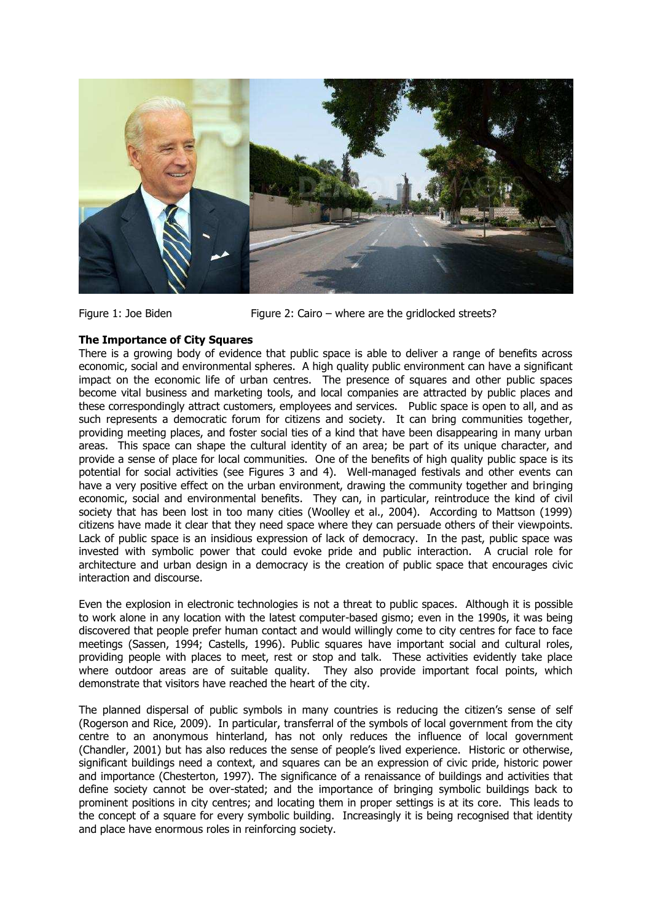

Figure 1: Joe Biden Figure 2: Cairo – where are the gridlocked streets?

#### **The Importance of City Squares**

There is a growing body of evidence that public space is able to deliver a range of benefits across economic, social and environmental spheres. A high quality public environment can have a significant impact on the economic life of urban centres. The presence of squares and other public spaces become vital business and marketing tools, and local companies are attracted by public places and these correspondingly attract customers, employees and services. Public space is open to all, and as such represents a democratic forum for citizens and society. It can bring communities together, providing meeting places, and foster social ties of a kind that have been disappearing in many urban areas. This space can shape the cultural identity of an area; be part of its unique character, and provide a sense of place for local communities. One of the benefits of high quality public space is its potential for social activities (see Figures 3 and 4). Well-managed festivals and other events can have a very positive effect on the urban environment, drawing the community together and bringing economic, social and environmental benefits. They can, in particular, reintroduce the kind of civil society that has been lost in too many cities (Woolley et al., 2004). According to Mattson (1999) citizens have made it clear that they need space where they can persuade others of their viewpoints. Lack of public space is an insidious expression of lack of democracy. In the past, public space was invested with symbolic power that could evoke pride and public interaction. A crucial role for architecture and urban design in a democracy is the creation of public space that encourages civic interaction and discourse.

Even the explosion in electronic technologies is not a threat to public spaces. Although it is possible to work alone in any location with the latest computer-based gismo; even in the 1990s, it was being discovered that people prefer human contact and would willingly come to city centres for face to face meetings (Sassen, 1994; Castells, 1996). Public squares have important social and cultural roles, providing people with places to meet, rest or stop and talk. These activities evidently take place where outdoor areas are of suitable quality. They also provide important focal points, which demonstrate that visitors have reached the heart of the city.

The planned dispersal of public symbols in many countries is reducing the citizen's sense of self (Rogerson and Rice, 2009). In particular, transferral of the symbols of local government from the city centre to an anonymous hinterland, has not only reduces the influence of local government (Chandler, 2001) but has also reduces the sense of people's lived experience.Historic or otherwise, significant buildings need a context, and squares can be an expression of civic pride, historic power and importance (Chesterton, 1997). The significance of a renaissance of buildings and activities that define society cannot be over-stated; and the importance of bringing symbolic buildings back to prominent positions in city centres; and locating them in proper settings is at its core. This leads to the concept of a square for every symbolic building. Increasingly it is being recognised that identity and place have enormous roles in reinforcing society.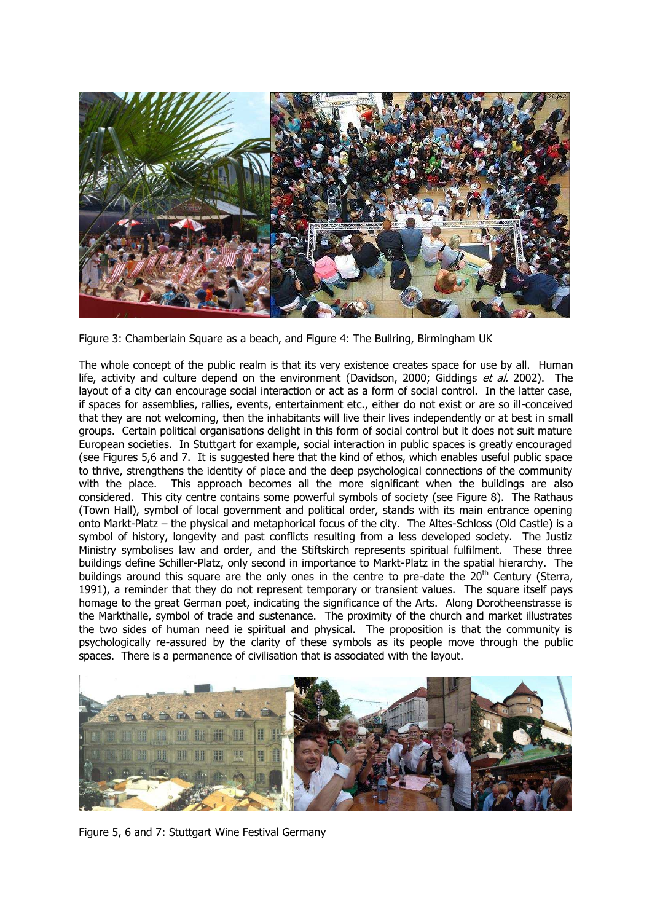

Figure 3: Chamberlain Square as a beach, and Figure 4: The Bullring, Birmingham UK

The whole concept of the public realm is that its very existence creates space for use by all. Human life, activity and culture depend on the environment (Davidson, 2000; Giddings et al. 2002). The layout of a city can encourage social interaction or act as a form of social control. In the latter case, if spaces for assemblies, rallies, events, entertainment etc., either do not exist or are so ill-conceived that they are not welcoming, then the inhabitants will live their lives independently or at best in small groups. Certain political organisations delight in this form of social control but it does not suit mature European societies. In Stuttgart for example, social interaction in public spaces is greatly encouraged (see Figures 5,6 and 7. It is suggested here that the kind of ethos, which enables useful public space to thrive, strengthens the identity of place and the deep psychological connections of the community with the place. This approach becomes all the more significant when the buildings are also considered. This city centre contains some powerful symbols of society (see Figure 8). The Rathaus (Town Hall), symbol of local government and political order, stands with its main entrance opening onto Markt-Platz – the physical and metaphorical focus of the city. The Altes-Schloss (Old Castle) is a symbol of history, longevity and past conflicts resulting from a less developed society. The Justiz Ministry symbolises law and order, and the Stiftskirch represents spiritual fulfilment. These three buildings define Schiller-Platz, only second in importance to Markt-Platz in the spatial hierarchy. The buildings around this square are the only ones in the centre to pre-date the  $20<sup>th</sup>$  Century (Sterra, 1991), a reminder that they do not represent temporary or transient values. The square itself pays homage to the great German poet, indicating the significance of the Arts. Along Dorotheenstrasse is the Markthalle, symbol of trade and sustenance. The proximity of the church and market illustrates the two sides of human need ie spiritual and physical. The proposition is that the community is psychologically re-assured by the clarity of these symbols as its people move through the public spaces. There is a permanence of civilisation that is associated with the layout.



Figure 5, 6 and 7: Stuttgart Wine Festival Germany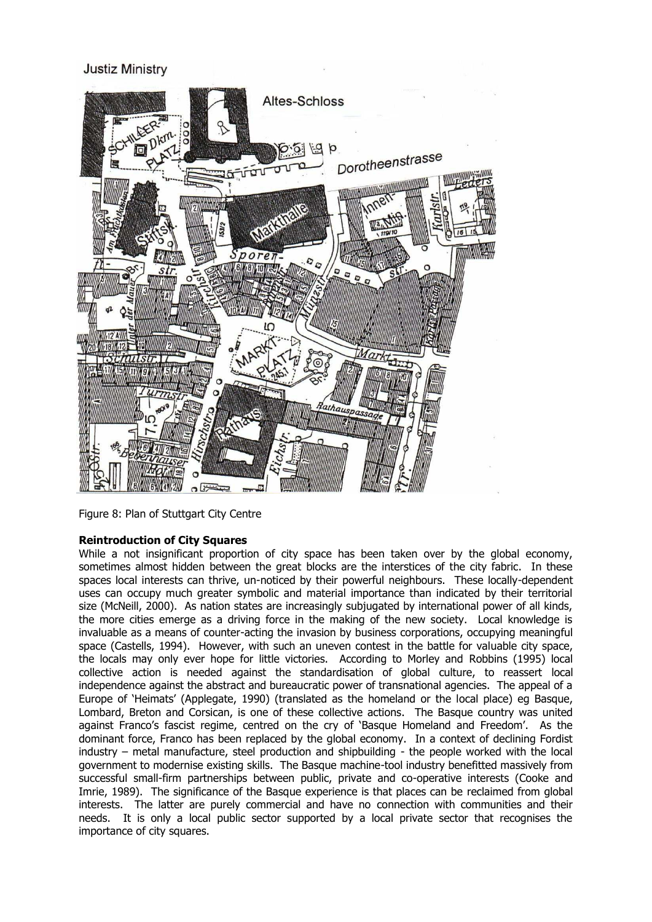# **Justiz Ministry**



Figure 8: Plan of Stuttgart City Centre

## **Reintroduction of City Squares**

While a not insignificant proportion of city space has been taken over by the global economy, sometimes almost hidden between the great blocks are the interstices of the city fabric. In these spaces local interests can thrive, un-noticed by their powerful neighbours. These locally-dependent uses can occupy much greater symbolic and material importance than indicated by their territorial size (McNeill, 2000). As nation states are increasingly subjugated by international power of all kinds, the more cities emerge as a driving force in the making of the new society. Local knowledge is invaluable as a means of counter-acting the invasion by business corporations, occupying meaningful space (Castells, 1994). However, with such an uneven contest in the battle for valuable city space, the locals may only ever hope for little victories. According to Morley and Robbins (1995) local collective action is needed against the standardisation of global culture, to reassert local independence against the abstract and bureaucratic power of transnational agencies. The appeal of a Europe of 'Heimats' (Applegate, 1990) (translated as the homeland or the local place) eg Basque, Lombard, Breton and Corsican, is one of these collective actions. The Basque country was united against Franco's fascist regime, centred on the cry of 'Basque Homeland and Freedom'. As the dominant force, Franco has been replaced by the global economy. In a context of declining Fordist industry – metal manufacture, steel production and shipbuilding - the people worked with the local government to modernise existing skills. The Basque machine-tool industry benefitted massively from successful small-firm partnerships between public, private and co-operative interests (Cooke and Imrie, 1989). The significance of the Basque experience is that places can be reclaimed from global interests. The latter are purely commercial and have no connection with communities and their needs. It is only a local public sector supported by a local private sector that recognises the importance of city squares.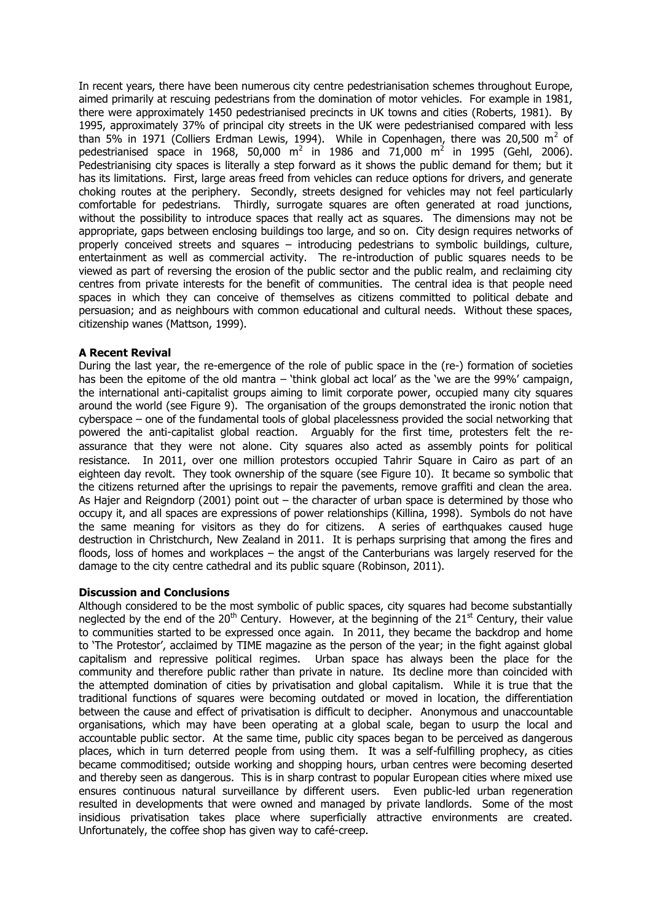In recent years, there have been numerous city centre pedestrianisation schemes throughout Europe, aimed primarily at rescuing pedestrians from the domination of motor vehicles. For example in 1981, there were approximately 1450 pedestrianised precincts in UK towns and cities (Roberts, 1981). By 1995, approximately 37% of principal city streets in the UK were pedestrianised compared with less than 5% in 1971 (Colliers Erdman Lewis, 1994). While in Copenhagen, there was 20,500  $m^2$  of pedestrianised space in 1968, 50,000  $m^2$  in 1986 and 71,000  $m^2$  in 1995 (Gehl, 2006). Pedestrianising city spaces is literally a step forward as it shows the public demand for them; but it has its limitations. First, large areas freed from vehicles can reduce options for drivers, and generate choking routes at the periphery. Secondly, streets designed for vehicles may not feel particularly comfortable for pedestrians. Thirdly, surrogate squares are often generated at road junctions, without the possibility to introduce spaces that really act as squares. The dimensions may not be appropriate, gaps between enclosing buildings too large, and so on. City design requires networks of properly conceived streets and squares – introducing pedestrians to symbolic buildings, culture, entertainment as well as commercial activity. The re-introduction of public squares needs to be viewed as part of reversing the erosion of the public sector and the public realm, and reclaiming city centres from private interests for the benefit of communities. The central idea is that people need spaces in which they can conceive of themselves as citizens committed to political debate and persuasion; and as neighbours with common educational and cultural needs. Without these spaces, citizenship wanes (Mattson, 1999).

#### **A Recent Revival**

During the last year, the re-emergence of the role of public space in the (re-) formation of societies has been the epitome of the old mantra – 'think global act local' as the 'we are the 99%' campaign, the international anti-capitalist groups aiming to limit corporate power, occupied many city squares around the world (see Figure 9). The organisation of the groups demonstrated the ironic notion that cyberspace – one of the fundamental tools of global placelessness provided the social networking that powered the anti-capitalist global reaction. Arguably for the first time, protesters felt the reassurance that they were not alone. City squares also acted as assembly points for political resistance. In 2011, over one million protestors occupied Tahrir Square in Cairo as part of an eighteen day revolt. They took ownership of the square (see Figure 10). It became so symbolic that the citizens returned after the uprisings to repair the pavements, remove graffiti and clean the area. As Hajer and Reigndorp (2001) point out  $-$  the character of urban space is determined by those who occupy it, and all spaces are expressions of power relationships (Killina, 1998). Symbols do not have the same meaning for visitors as they do for citizens. A series of earthquakes caused huge destruction in Christchurch, New Zealand in 2011. It is perhaps surprising that among the fires and floods, loss of homes and workplaces – the angst of the Canterburians was largely reserved for the damage to the city centre cathedral and its public square (Robinson, 2011).

#### **Discussion and Conclusions**

Although considered to be the most symbolic of public spaces, city squares had become substantially neglected by the end of the  $20<sup>th</sup>$  Century. However, at the beginning of the  $21<sup>st</sup>$  Century, their value to communities started to be expressed once again. In 2011, they became the backdrop and home to 'The Protestor', acclaimed by TIME magazine as the person of the year; in the fight against global capitalism and repressive political regimes. Urban space has always been the place for the community and therefore public rather than private in nature. Its decline more than coincided with the attempted domination of cities by privatisation and global capitalism. While it is true that the traditional functions of squares were becoming outdated or moved in location, the differentiation between the cause and effect of privatisation is difficult to decipher. Anonymous and unaccountable organisations, which may have been operating at a global scale, began to usurp the local and accountable public sector. At the same time, public city spaces began to be perceived as dangerous places, which in turn deterred people from using them. It was a self-fulfilling prophecy, as cities became commoditised; outside working and shopping hours, urban centres were becoming deserted and thereby seen as dangerous. This is in sharp contrast to popular European cities where mixed use ensures continuous natural surveillance by different users. Even public-led urban regeneration resulted in developments that were owned and managed by private landlords. Some of the most insidious privatisation takes place where superficially attractive environments are created. Unfortunately, the coffee shop has given way to café-creep.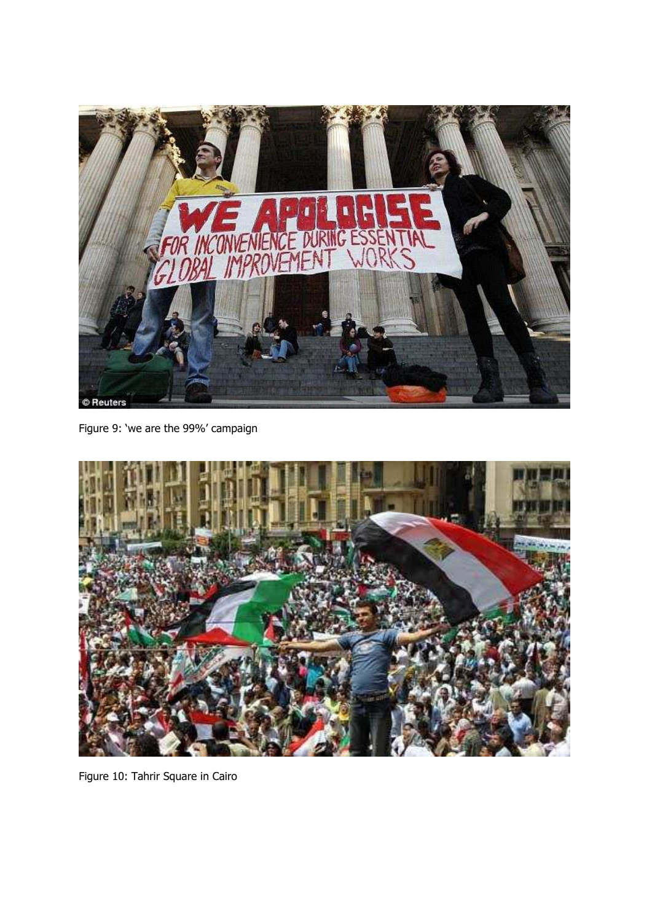

Figure 9: 'we are the 99%' campaign



Figure 10: Tahrir Square in Cairo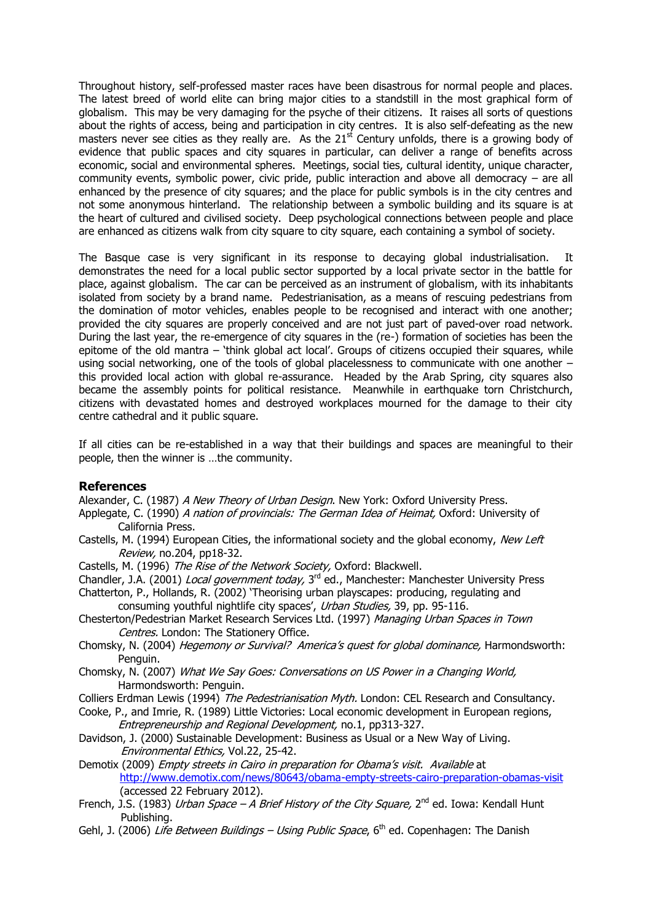Throughout history, self-professed master races have been disastrous for normal people and places. The latest breed of world elite can bring major cities to a standstill in the most graphical form of globalism. This may be very damaging for the psyche of their citizens. It raises all sorts of questions about the rights of access, being and participation in city centres. It is also self-defeating as the new masters never see cities as they really are. As the  $21<sup>st</sup>$  Century unfolds, there is a growing body of evidence that public spaces and city squares in particular, can deliver a range of benefits across economic, social and environmental spheres. Meetings, social ties, cultural identity, unique character, community events, symbolic power, civic pride, public interaction and above all democracy – are all enhanced by the presence of city squares; and the place for public symbols is in the city centres and not some anonymous hinterland. The relationship between a symbolic building and its square is at the heart of cultured and civilised society. Deep psychological connections between people and place are enhanced as citizens walk from city square to city square, each containing a symbol of society.

The Basque case is very significant in its response to decaying global industrialisation. It demonstrates the need for a local public sector supported by a local private sector in the battle for place, against globalism. The car can be perceived as an instrument of globalism, with its inhabitants isolated from society by a brand name. Pedestrianisation, as a means of rescuing pedestrians from the domination of motor vehicles, enables people to be recognised and interact with one another; provided the city squares are properly conceived and are not just part of paved-over road network. During the last year, the re-emergence of city squares in the (re-) formation of societies has been the epitome of the old mantra – 'think global act local'. Groups of citizens occupied their squares, while using social networking, one of the tools of global placelessness to communicate with one another – this provided local action with global re-assurance. Headed by the Arab Spring, city squares also became the assembly points for political resistance. Meanwhile in earthquake torn Christchurch, citizens with devastated homes and destroyed workplaces mourned for the damage to their city centre cathedral and it public square.

If all cities can be re-established in a way that their buildings and spaces are meaningful to their people, then the winner is …the community.

#### **References**

Alexander, C. (1987) A New Theory of Urban Design. New York: Oxford University Press.

- Applegate, C. (1990) A nation of provincials: The German Idea of Heimat, Oxford: University of California Press.
- Castells, M. (1994) European Cities, the informational society and the global economy, New Left Review, no.204, pp18-32.
- Castells, M. (1996) The Rise of the Network Society, Oxford: Blackwell.

Chandler, J.A. (2001) Local government today, 3<sup>rd</sup> ed., Manchester: Manchester University Press

Chatterton, P., Hollands, R. (2002) 'Theorising urban playscapes: producing, regulating and

consuming youthful nightlife city spaces', Urban Studies, 39, pp. 95-116.

Chesterton/Pedestrian Market Research Services Ltd. (1997) Managing Urban Spaces in Town Centres. London: The Stationery Office.

- Chomsky, N. (2004) Hegemony or Survival? America's quest for global dominance, Harmondsworth: Penguin.
- Chomsky, N. (2007) What We Say Goes: Conversations on US Power in a Changing World, Harmondsworth: Penguin.
- Colliers Erdman Lewis (1994) The Pedestrianisation Myth. London: CEL Research and Consultancy.
- Cooke, P., and Imrie, R. (1989) Little Victories: Local economic development in European regions, Entrepreneurship and Regional Development, no.1, pp313-327.

Davidson, J. (2000) Sustainable Development: Business as Usual or a New Way of Living. Environmental Ethics, Vol.22, 25-42.

- Demotix (2009) Empty streets in Cairo in preparation for Obama's visit. Available at <http://www.demotix.com/news/80643/obama-empty-streets-cairo-preparation-obamas-visit> (accessed 22 February 2012).
- French, J.S. (1983) Urban Space A Brief History of the City Square, 2<sup>nd</sup> ed. Iowa: Kendall Hunt Publishing.
- Gehl, J. (2006) Life Between Buildings Using Public Space, 6<sup>th</sup> ed. Copenhagen: The Danish